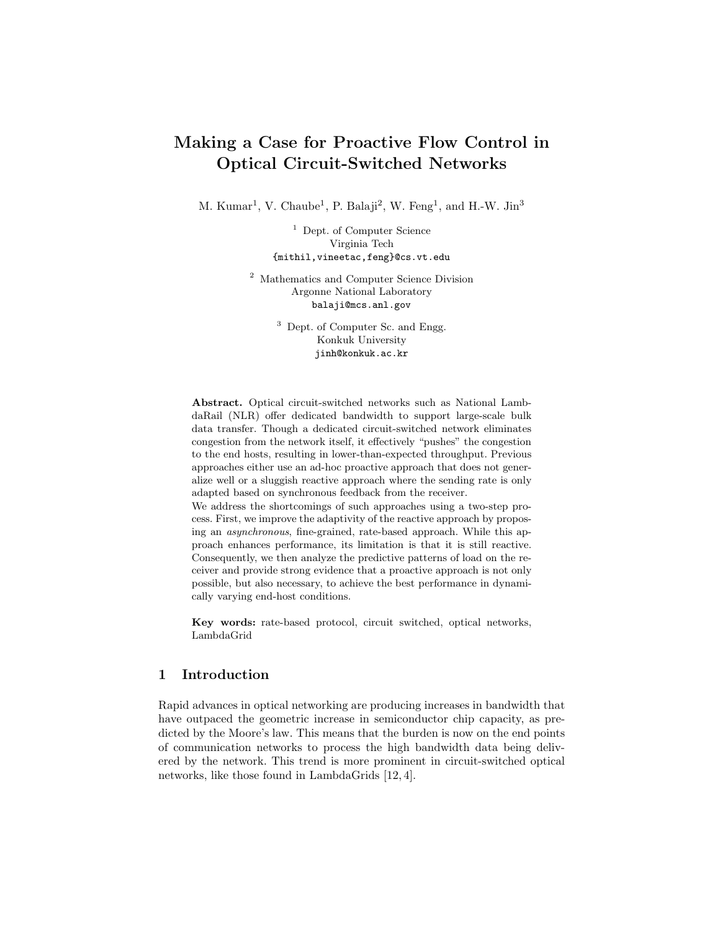# Making a Case for Proactive Flow Control in Optical Circuit-Switched Networks

M. Kumar<sup>1</sup>, V. Chaube<sup>1</sup>, P. Balaji<sup>2</sup>, W. Feng<sup>1</sup>, and H.-W. Jin<sup>3</sup>

<sup>1</sup> Dept. of Computer Science Virginia Tech {mithil,vineetac,feng}@cs.vt.edu

<sup>2</sup> Mathematics and Computer Science Division Argonne National Laboratory balaji@mcs.anl.gov

> <sup>3</sup> Dept. of Computer Sc. and Engg. Konkuk University jinh@konkuk.ac.kr

Abstract. Optical circuit-switched networks such as National LambdaRail (NLR) offer dedicated bandwidth to support large-scale bulk data transfer. Though a dedicated circuit-switched network eliminates congestion from the network itself, it effectively "pushes" the congestion to the end hosts, resulting in lower-than-expected throughput. Previous approaches either use an ad-hoc proactive approach that does not generalize well or a sluggish reactive approach where the sending rate is only adapted based on synchronous feedback from the receiver.

We address the shortcomings of such approaches using a two-step process. First, we improve the adaptivity of the reactive approach by proposing an asynchronous, fine-grained, rate-based approach. While this approach enhances performance, its limitation is that it is still reactive. Consequently, we then analyze the predictive patterns of load on the receiver and provide strong evidence that a proactive approach is not only possible, but also necessary, to achieve the best performance in dynamically varying end-host conditions.

Key words: rate-based protocol, circuit switched, optical networks, LambdaGrid

# 1 Introduction

Rapid advances in optical networking are producing increases in bandwidth that have outpaced the geometric increase in semiconductor chip capacity, as predicted by the Moore's law. This means that the burden is now on the end points of communication networks to process the high bandwidth data being delivered by the network. This trend is more prominent in circuit-switched optical networks, like those found in LambdaGrids [12, 4].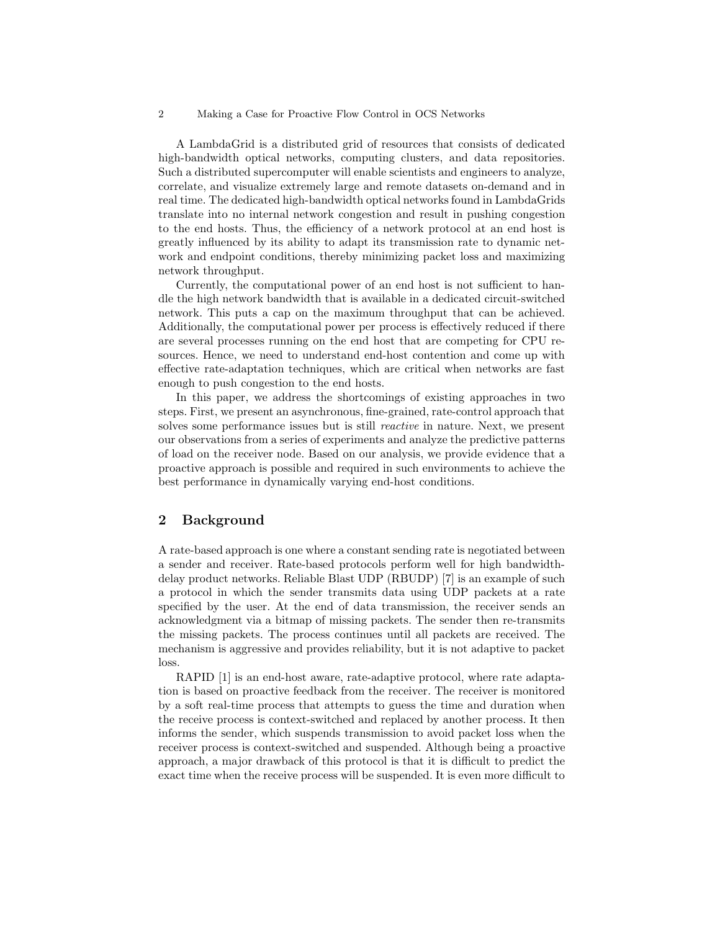#### 2 Making a Case for Proactive Flow Control in OCS Networks

A LambdaGrid is a distributed grid of resources that consists of dedicated high-bandwidth optical networks, computing clusters, and data repositories. Such a distributed supercomputer will enable scientists and engineers to analyze, correlate, and visualize extremely large and remote datasets on-demand and in real time. The dedicated high-bandwidth optical networks found in LambdaGrids translate into no internal network congestion and result in pushing congestion to the end hosts. Thus, the efficiency of a network protocol at an end host is greatly influenced by its ability to adapt its transmission rate to dynamic network and endpoint conditions, thereby minimizing packet loss and maximizing network throughput.

Currently, the computational power of an end host is not sufficient to handle the high network bandwidth that is available in a dedicated circuit-switched network. This puts a cap on the maximum throughput that can be achieved. Additionally, the computational power per process is effectively reduced if there are several processes running on the end host that are competing for CPU resources. Hence, we need to understand end-host contention and come up with effective rate-adaptation techniques, which are critical when networks are fast enough to push congestion to the end hosts.

In this paper, we address the shortcomings of existing approaches in two steps. First, we present an asynchronous, fine-grained, rate-control approach that solves some performance issues but is still reactive in nature. Next, we present our observations from a series of experiments and analyze the predictive patterns of load on the receiver node. Based on our analysis, we provide evidence that a proactive approach is possible and required in such environments to achieve the best performance in dynamically varying end-host conditions.

### 2 Background

A rate-based approach is one where a constant sending rate is negotiated between a sender and receiver. Rate-based protocols perform well for high bandwidthdelay product networks. Reliable Blast UDP (RBUDP) [7] is an example of such a protocol in which the sender transmits data using UDP packets at a rate specified by the user. At the end of data transmission, the receiver sends an acknowledgment via a bitmap of missing packets. The sender then re-transmits the missing packets. The process continues until all packets are received. The mechanism is aggressive and provides reliability, but it is not adaptive to packet loss.

RAPID [1] is an end-host aware, rate-adaptive protocol, where rate adaptation is based on proactive feedback from the receiver. The receiver is monitored by a soft real-time process that attempts to guess the time and duration when the receive process is context-switched and replaced by another process. It then informs the sender, which suspends transmission to avoid packet loss when the receiver process is context-switched and suspended. Although being a proactive approach, a major drawback of this protocol is that it is difficult to predict the exact time when the receive process will be suspended. It is even more difficult to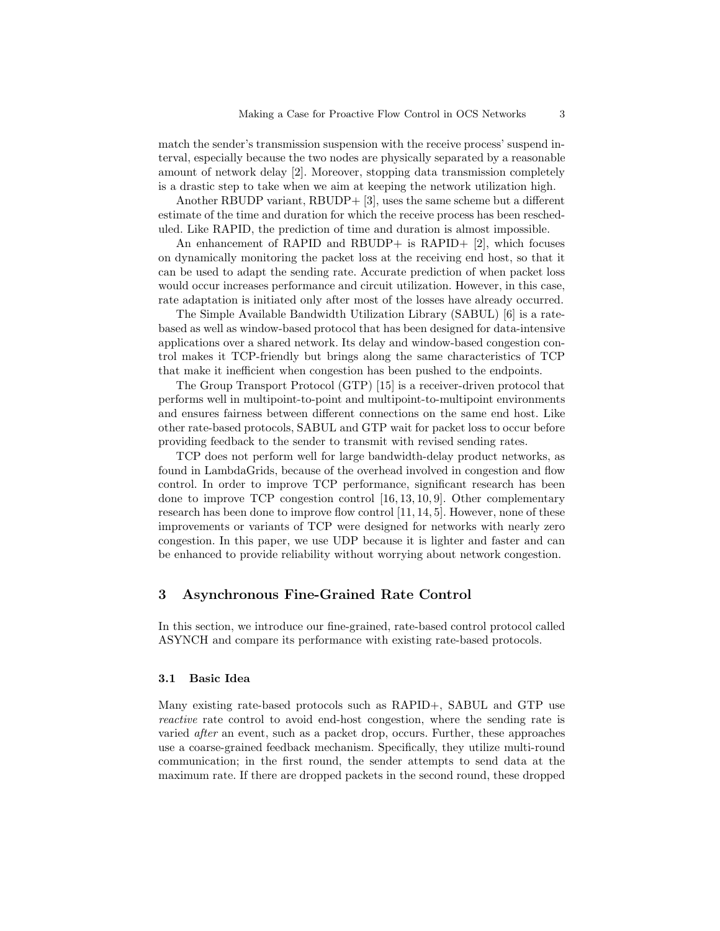match the sender's transmission suspension with the receive process' suspend interval, especially because the two nodes are physically separated by a reasonable amount of network delay [2]. Moreover, stopping data transmission completely is a drastic step to take when we aim at keeping the network utilization high.

Another RBUDP variant, RBUDP+ [3], uses the same scheme but a different estimate of the time and duration for which the receive process has been rescheduled. Like RAPID, the prediction of time and duration is almost impossible.

An enhancement of RAPID and RBUDP+ is RAPID+  $[2]$ , which focuses on dynamically monitoring the packet loss at the receiving end host, so that it can be used to adapt the sending rate. Accurate prediction of when packet loss would occur increases performance and circuit utilization. However, in this case, rate adaptation is initiated only after most of the losses have already occurred.

The Simple Available Bandwidth Utilization Library (SABUL) [6] is a ratebased as well as window-based protocol that has been designed for data-intensive applications over a shared network. Its delay and window-based congestion control makes it TCP-friendly but brings along the same characteristics of TCP that make it inefficient when congestion has been pushed to the endpoints.

The Group Transport Protocol (GTP) [15] is a receiver-driven protocol that performs well in multipoint-to-point and multipoint-to-multipoint environments and ensures fairness between different connections on the same end host. Like other rate-based protocols, SABUL and GTP wait for packet loss to occur before providing feedback to the sender to transmit with revised sending rates.

TCP does not perform well for large bandwidth-delay product networks, as found in LambdaGrids, because of the overhead involved in congestion and flow control. In order to improve TCP performance, significant research has been done to improve TCP congestion control [16, 13, 10, 9]. Other complementary research has been done to improve flow control [11, 14, 5]. However, none of these improvements or variants of TCP were designed for networks with nearly zero congestion. In this paper, we use UDP because it is lighter and faster and can be enhanced to provide reliability without worrying about network congestion.

### 3 Asynchronous Fine-Grained Rate Control

In this section, we introduce our fine-grained, rate-based control protocol called ASYNCH and compare its performance with existing rate-based protocols.

### 3.1 Basic Idea

Many existing rate-based protocols such as RAPID+, SABUL and GTP use reactive rate control to avoid end-host congestion, where the sending rate is varied after an event, such as a packet drop, occurs. Further, these approaches use a coarse-grained feedback mechanism. Specifically, they utilize multi-round communication; in the first round, the sender attempts to send data at the maximum rate. If there are dropped packets in the second round, these dropped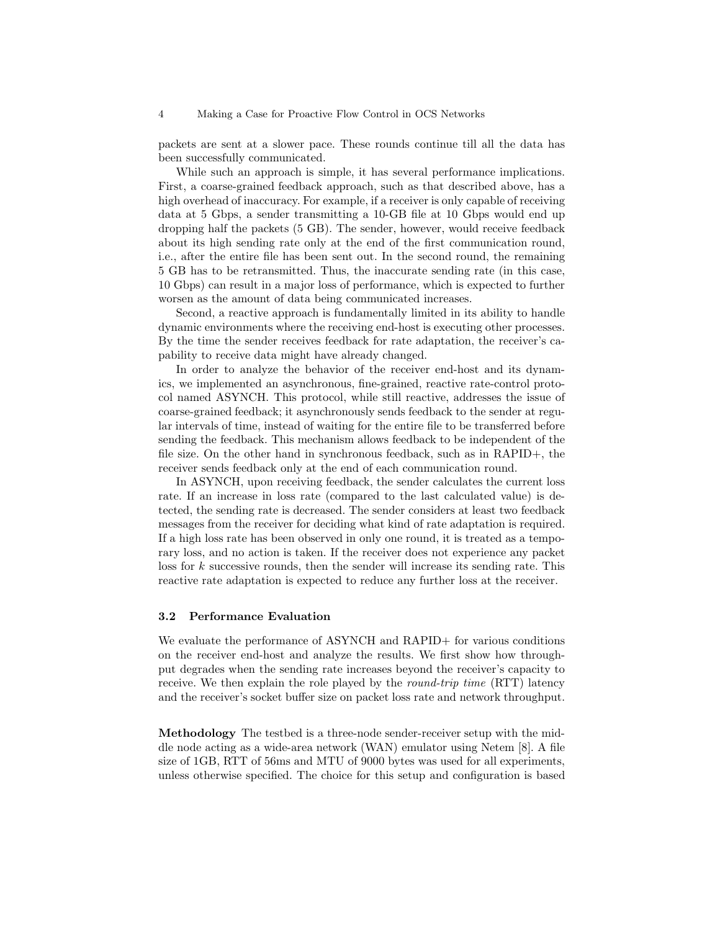packets are sent at a slower pace. These rounds continue till all the data has been successfully communicated.

While such an approach is simple, it has several performance implications. First, a coarse-grained feedback approach, such as that described above, has a high overhead of inaccuracy. For example, if a receiver is only capable of receiving data at 5 Gbps, a sender transmitting a 10-GB file at 10 Gbps would end up dropping half the packets (5 GB). The sender, however, would receive feedback about its high sending rate only at the end of the first communication round, i.e., after the entire file has been sent out. In the second round, the remaining 5 GB has to be retransmitted. Thus, the inaccurate sending rate (in this case, 10 Gbps) can result in a major loss of performance, which is expected to further worsen as the amount of data being communicated increases.

Second, a reactive approach is fundamentally limited in its ability to handle dynamic environments where the receiving end-host is executing other processes. By the time the sender receives feedback for rate adaptation, the receiver's capability to receive data might have already changed.

In order to analyze the behavior of the receiver end-host and its dynamics, we implemented an asynchronous, fine-grained, reactive rate-control protocol named ASYNCH. This protocol, while still reactive, addresses the issue of coarse-grained feedback; it asynchronously sends feedback to the sender at regular intervals of time, instead of waiting for the entire file to be transferred before sending the feedback. This mechanism allows feedback to be independent of the file size. On the other hand in synchronous feedback, such as in RAPID+, the receiver sends feedback only at the end of each communication round.

In ASYNCH, upon receiving feedback, the sender calculates the current loss rate. If an increase in loss rate (compared to the last calculated value) is detected, the sending rate is decreased. The sender considers at least two feedback messages from the receiver for deciding what kind of rate adaptation is required. If a high loss rate has been observed in only one round, it is treated as a temporary loss, and no action is taken. If the receiver does not experience any packet loss for k successive rounds, then the sender will increase its sending rate. This reactive rate adaptation is expected to reduce any further loss at the receiver.

#### 3.2 Performance Evaluation

We evaluate the performance of ASYNCH and RAPID+ for various conditions on the receiver end-host and analyze the results. We first show how throughput degrades when the sending rate increases beyond the receiver's capacity to receive. We then explain the role played by the round-trip time (RTT) latency and the receiver's socket buffer size on packet loss rate and network throughput.

Methodology The testbed is a three-node sender-receiver setup with the middle node acting as a wide-area network (WAN) emulator using Netem [8]. A file size of 1GB, RTT of 56ms and MTU of 9000 bytes was used for all experiments, unless otherwise specified. The choice for this setup and configuration is based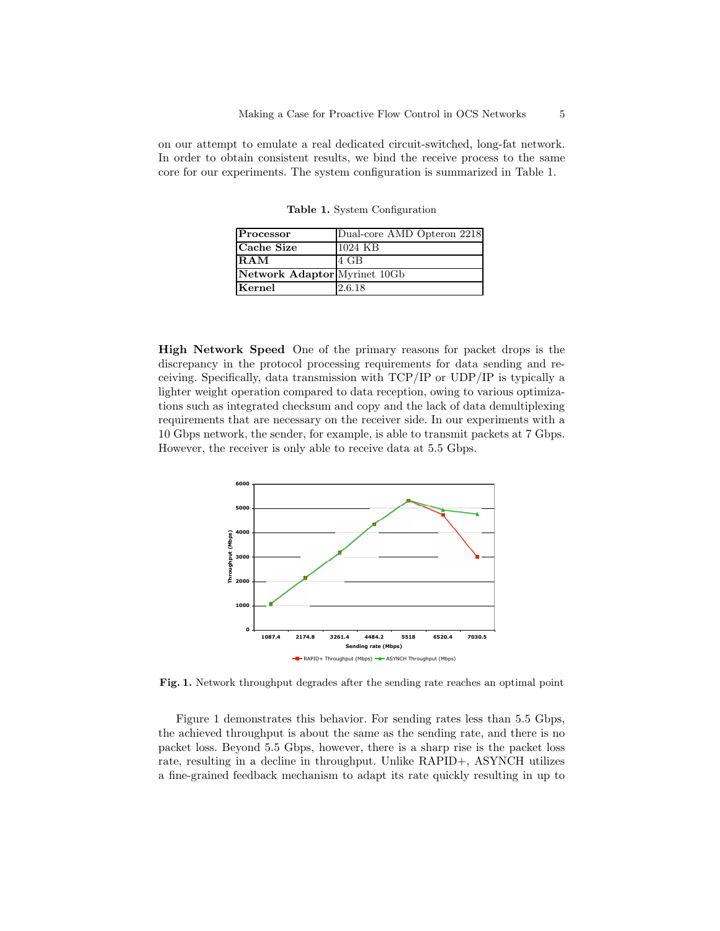on our attempt to emulate a real dedicated circuit-switched, long-fat network. In order to obtain consistent results, we bind the receive process to the same core for our experiments. The system configuration is summarized in Table 1.

| Processor                    | Dual-core AMD Opteron 2218 |
|------------------------------|----------------------------|
| Cache Size                   | 1024 KB                    |
| RAM                          | 4 GB                       |
| Network Adaptor Myrinet 10Gb |                            |
| Kernel                       | 2.6.18                     |

Table 1. System Configuration

High Network Speed One of the primary reasons for packet drops is the discrepancy in the protocol processing requirements for data sending and receiving. Specifically, data transmission with TCP/IP or UDP/IP is typically a lighter weight operation compared to data reception, owing to various optimizations such as integrated checksum and copy and the lack of data demultiplexing requirements that are necessary on the receiver side. In our experiments with a 10 Gbps network, the sender, for example, is able to transmit packets at 7 Gbps. However, the receiver is only able to receive data at 5.5 Gbps.



Fig. 1. Network throughput degrades after the sending rate reaches an optimal point

Figure 1 demonstrates this behavior. For sending rates less than 5.5 Gbps, the achieved throughput is about the same as the sending rate, and there is no packet loss. Beyond 5.5 Gbps, however, there is a sharp rise is the packet loss rate, resulting in a decline in throughput. Unlike RAPID+, ASYNCH utilizes a fine-grained feedback mechanism to adapt its rate quickly resulting in up to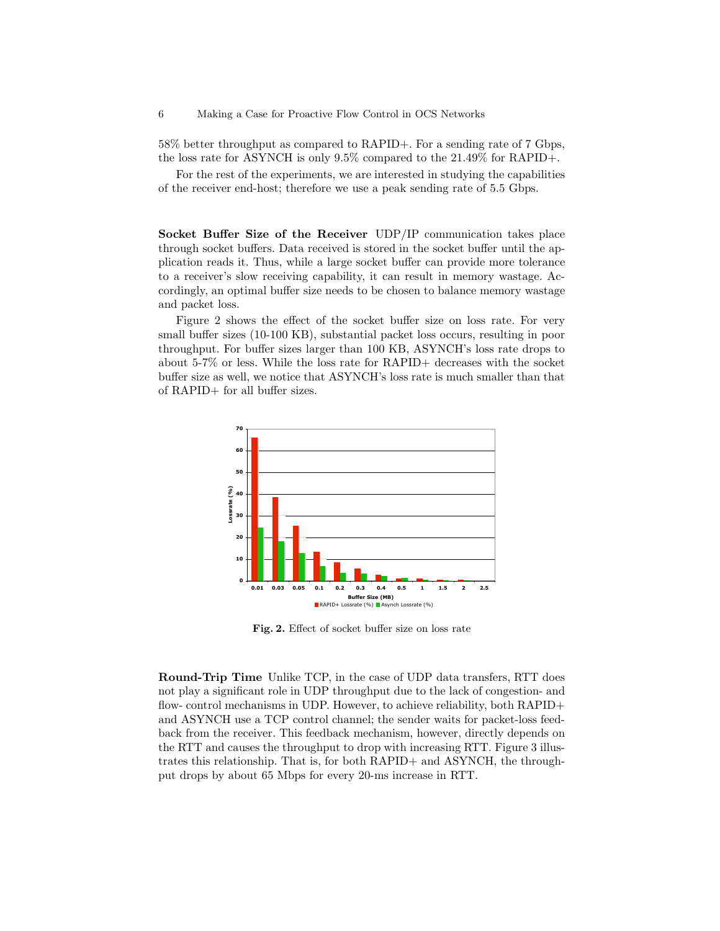58% better throughput as compared to RAPID+. For a sending rate of 7 Gbps, the loss rate for ASYNCH is only 9.5% compared to the 21.49% for RAPID+.

For the rest of the experiments, we are interested in studying the capabilities of the receiver end-host; therefore we use a peak sending rate of 5.5 Gbps.

Socket Buffer Size of the Receiver UDP/IP communication takes place through socket buffers. Data received is stored in the socket buffer until the application reads it. Thus, while a large socket buffer can provide more tolerance to a receiver's slow receiving capability, it can result in memory wastage. Accordingly, an optimal buffer size needs to be chosen to balance memory wastage and packet loss.

Figure 2 shows the effect of the socket buffer size on loss rate. For very small buffer sizes (10-100 KB), substantial packet loss occurs, resulting in poor throughput. For buffer sizes larger than 100 KB, ASYNCH's loss rate drops to about 5-7% or less. While the loss rate for RAPID+ decreases with the socket buffer size as well, we notice that ASYNCH's loss rate is much smaller than that of RAPID+ for all buffer sizes.



Fig. 2. Effect of socket buffer size on loss rate

Round-Trip Time Unlike TCP, in the case of UDP data transfers, RTT does not play a significant role in UDP throughput due to the lack of congestion- and flow- control mechanisms in UDP. However, to achieve reliability, both RAPID+ and ASYNCH use a TCP control channel; the sender waits for packet-loss feedback from the receiver. This feedback mechanism, however, directly depends on the RTT and causes the throughput to drop with increasing RTT. Figure 3 illustrates this relationship. That is, for both RAPID+ and ASYNCH, the throughput drops by about 65 Mbps for every 20-ms increase in RTT.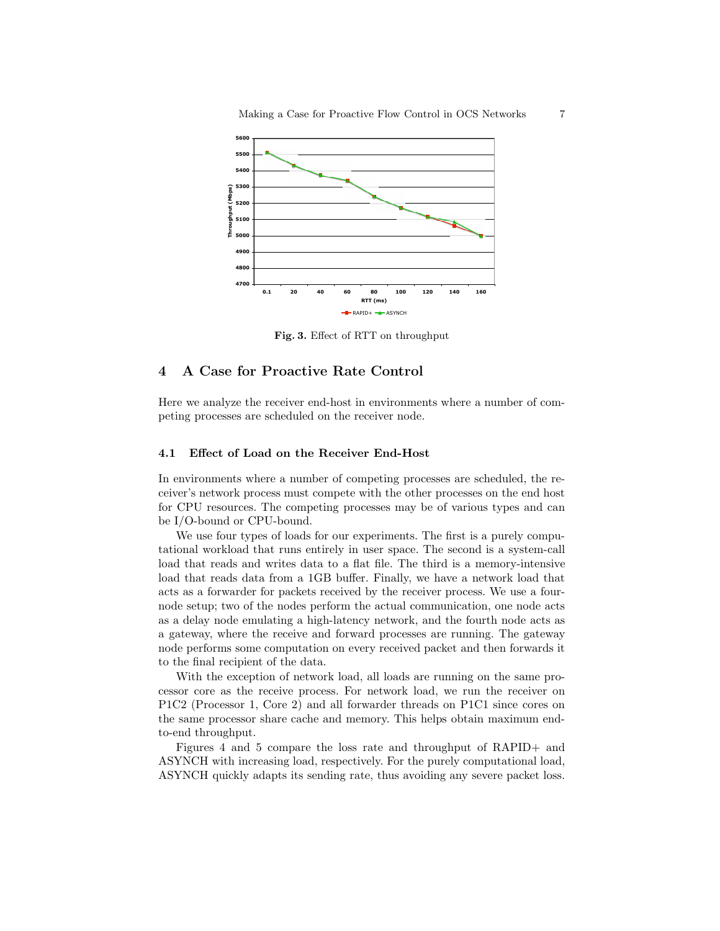

Fig. 3. Effect of RTT on throughput

# 4 A Case for Proactive Rate Control

Here we analyze the receiver end-host in environments where a number of competing processes are scheduled on the receiver node.

### 4.1 Effect of Load on the Receiver End-Host

In environments where a number of competing processes are scheduled, the receiver's network process must compete with the other processes on the end host for CPU resources. The competing processes may be of various types and can be I/O-bound or CPU-bound.

We use four types of loads for our experiments. The first is a purely computational workload that runs entirely in user space. The second is a system-call load that reads and writes data to a flat file. The third is a memory-intensive load that reads data from a 1GB buffer. Finally, we have a network load that acts as a forwarder for packets received by the receiver process. We use a fournode setup; two of the nodes perform the actual communication, one node acts as a delay node emulating a high-latency network, and the fourth node acts as a gateway, where the receive and forward processes are running. The gateway node performs some computation on every received packet and then forwards it to the final recipient of the data.

With the exception of network load, all loads are running on the same processor core as the receive process. For network load, we run the receiver on P1C2 (Processor 1, Core 2) and all forwarder threads on P1C1 since cores on the same processor share cache and memory. This helps obtain maximum endto-end throughput.

Figures 4 and 5 compare the loss rate and throughput of RAPID+ and ASYNCH with increasing load, respectively. For the purely computational load, ASYNCH quickly adapts its sending rate, thus avoiding any severe packet loss.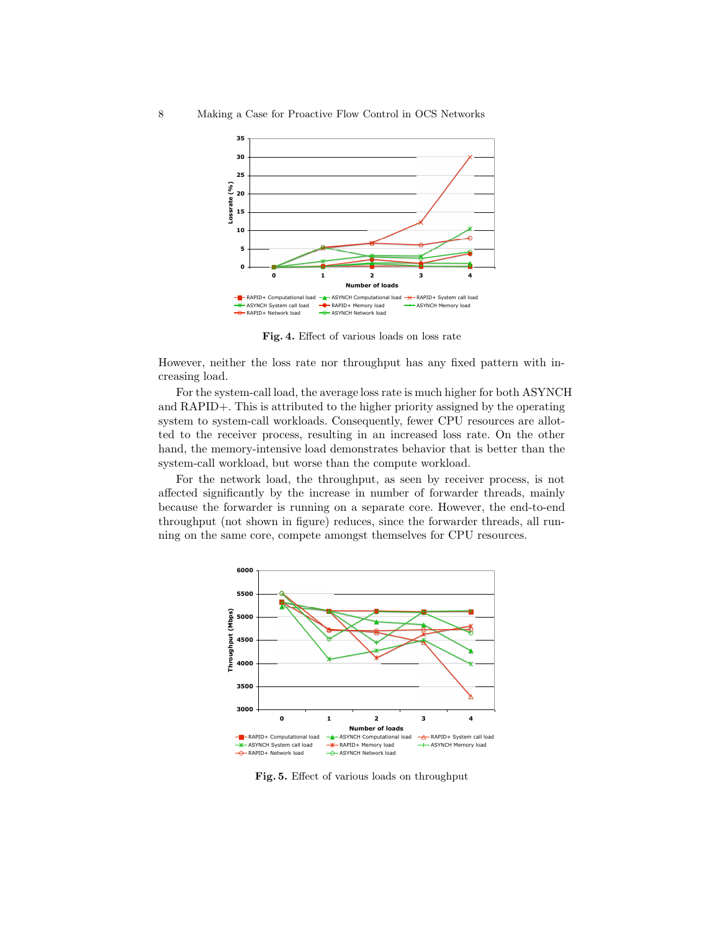

Fig. 4. Effect of various loads on loss rate

However, neither the loss rate nor throughput has any fixed pattern with increasing load.

For the system-call load, the average loss rate is much higher for both ASYNCH and RAPID+. This is attributed to the higher priority assigned by the operating system to system-call workloads. Consequently, fewer CPU resources are allotted to the receiver process, resulting in an increased loss rate. On the other hand, the memory-intensive load demonstrates behavior that is better than the system-call workload, but worse than the compute workload.

For the network load, the throughput, as seen by receiver process, is not affected significantly by the increase in number of forwarder threads, mainly because the forwarder is running on a separate core. However, the end-to-end throughput (not shown in figure) reduces, since the forwarder threads, all running on the same core, compete amongst themselves for CPU resources.



Fig. 5. Effect of various loads on throughput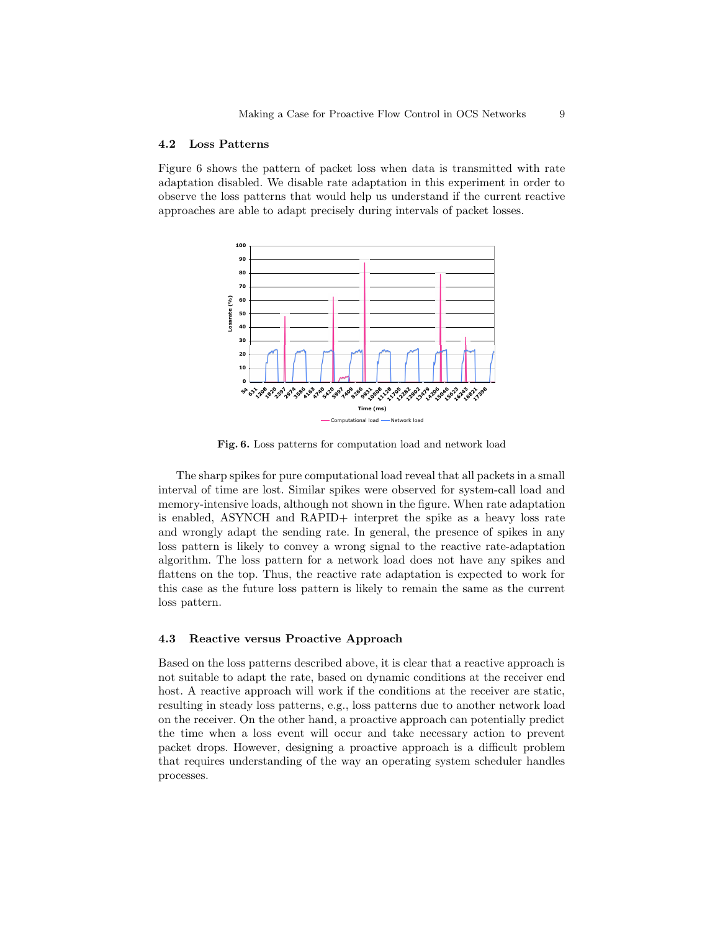### 4.2 Loss Patterns

Figure 6 shows the pattern of packet loss when data is transmitted with rate adaptation disabled. We disable rate adaptation in this experiment in order to observe the loss patterns that would help us understand if the current reactive approaches are able to adapt precisely during intervals of packet losses.



Fig. 6. Loss patterns for computation load and network load

The sharp spikes for pure computational load reveal that all packets in a small interval of time are lost. Similar spikes were observed for system-call load and memory-intensive loads, although not shown in the figure. When rate adaptation is enabled, ASYNCH and RAPID+ interpret the spike as a heavy loss rate and wrongly adapt the sending rate. In general, the presence of spikes in any loss pattern is likely to convey a wrong signal to the reactive rate-adaptation algorithm. The loss pattern for a network load does not have any spikes and flattens on the top. Thus, the reactive rate adaptation is expected to work for this case as the future loss pattern is likely to remain the same as the current loss pattern.

### 4.3 Reactive versus Proactive Approach

Based on the loss patterns described above, it is clear that a reactive approach is not suitable to adapt the rate, based on dynamic conditions at the receiver end host. A reactive approach will work if the conditions at the receiver are static, resulting in steady loss patterns, e.g., loss patterns due to another network load on the receiver. On the other hand, a proactive approach can potentially predict the time when a loss event will occur and take necessary action to prevent packet drops. However, designing a proactive approach is a difficult problem that requires understanding of the way an operating system scheduler handles processes.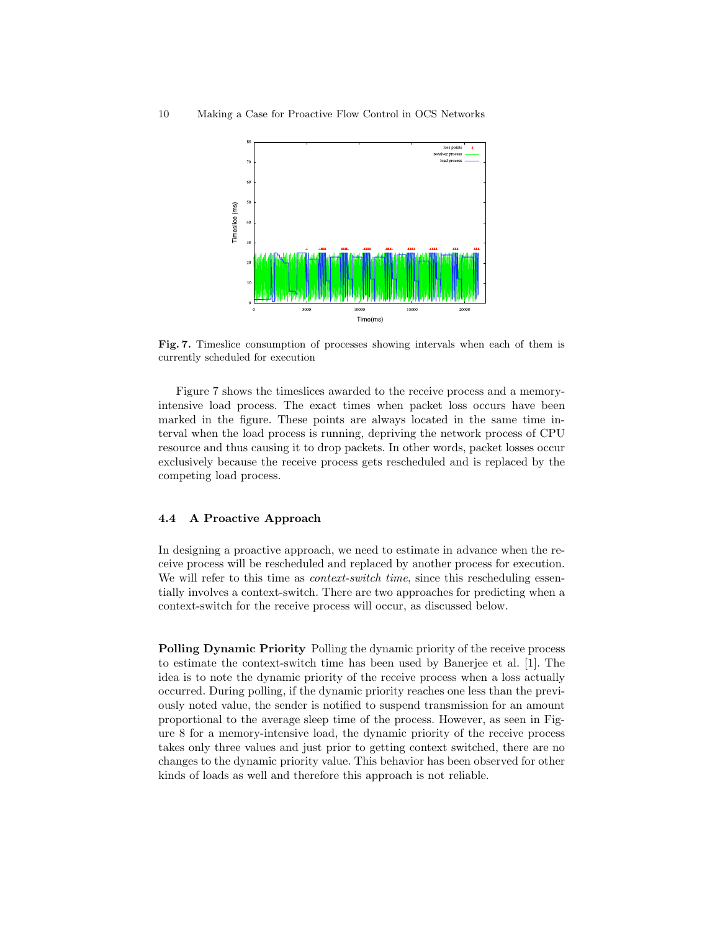

Fig. 7. Timeslice consumption of processes showing intervals when each of them is currently scheduled for execution

Figure 7 shows the timeslices awarded to the receive process and a memoryintensive load process. The exact times when packet loss occurs have been marked in the figure. These points are always located in the same time interval when the load process is running, depriving the network process of CPU resource and thus causing it to drop packets. In other words, packet losses occur exclusively because the receive process gets rescheduled and is replaced by the competing load process.

### 4.4 A Proactive Approach

In designing a proactive approach, we need to estimate in advance when the receive process will be rescheduled and replaced by another process for execution. We will refer to this time as *context-switch time*, since this rescheduling essentially involves a context-switch. There are two approaches for predicting when a context-switch for the receive process will occur, as discussed below.

Polling Dynamic Priority Polling the dynamic priority of the receive process to estimate the context-switch time has been used by Banerjee et al. [1]. The idea is to note the dynamic priority of the receive process when a loss actually occurred. During polling, if the dynamic priority reaches one less than the previously noted value, the sender is notified to suspend transmission for an amount proportional to the average sleep time of the process. However, as seen in Figure 8 for a memory-intensive load, the dynamic priority of the receive process takes only three values and just prior to getting context switched, there are no changes to the dynamic priority value. This behavior has been observed for other kinds of loads as well and therefore this approach is not reliable.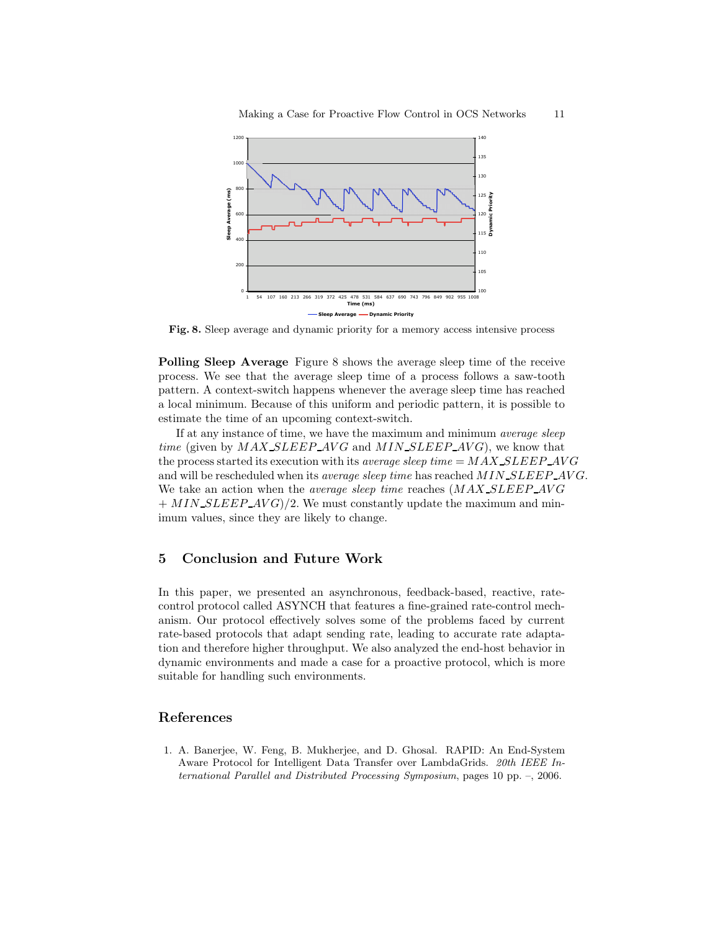

Fig. 8. Sleep average and dynamic priority for a memory access intensive process

Polling Sleep Average Figure 8 shows the average sleep time of the receive process. We see that the average sleep time of a process follows a saw-tooth pattern. A context-switch happens whenever the average sleep time has reached a local minimum. Because of this uniform and periodic pattern, it is possible to estimate the time of an upcoming context-switch.

If at any instance of time, we have the maximum and minimum average sleep time (given by  $MAX$  SLEEP  $AVG$  and  $MIN$  SLEEP  $AVG$ ), we know that the process started its execution with its *average sleep time*  $= MAX$  SLEEP  $AVG$ and will be rescheduled when its *average sleep time* has reached  $MIN$ <sub>SLEEP</sub>  $AVG$ . We take an action when the *average sleep time* reaches  $(MAX$  SLEEP  $AVG$  $+ MIN\_SLEEP\_AVG)/2$ . We must constantly update the maximum and minimum values, since they are likely to change.

# 5 Conclusion and Future Work

In this paper, we presented an asynchronous, feedback-based, reactive, ratecontrol protocol called ASYNCH that features a fine-grained rate-control mechanism. Our protocol effectively solves some of the problems faced by current rate-based protocols that adapt sending rate, leading to accurate rate adaptation and therefore higher throughput. We also analyzed the end-host behavior in dynamic environments and made a case for a proactive protocol, which is more suitable for handling such environments.

# References

1. A. Banerjee, W. Feng, B. Mukherjee, and D. Ghosal. RAPID: An End-System Aware Protocol for Intelligent Data Transfer over LambdaGrids. 20th IEEE International Parallel and Distributed Processing Symposium, pages 10 pp. –, 2006.